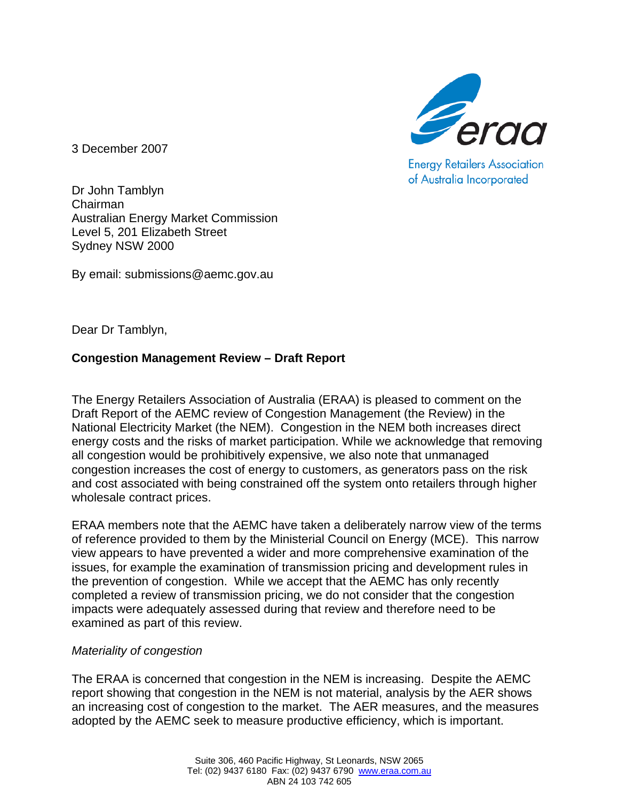

**Energy Retailers Association** of Australia Incorporated

3 December 2007

Dr John Tamblyn Chairman Australian Energy Market Commission Level 5, 201 Elizabeth Street Sydney NSW 2000

By email: submissions@aemc.gov.au

Dear Dr Tamblyn,

## **Congestion Management Review – Draft Report**

The Energy Retailers Association of Australia (ERAA) is pleased to comment on the Draft Report of the AEMC review of Congestion Management (the Review) in the National Electricity Market (the NEM). Congestion in the NEM both increases direct energy costs and the risks of market participation. While we acknowledge that removing all congestion would be prohibitively expensive, we also note that unmanaged congestion increases the cost of energy to customers, as generators pass on the risk and cost associated with being constrained off the system onto retailers through higher wholesale contract prices.

ERAA members note that the AEMC have taken a deliberately narrow view of the terms of reference provided to them by the Ministerial Council on Energy (MCE). This narrow view appears to have prevented a wider and more comprehensive examination of the issues, for example the examination of transmission pricing and development rules in the prevention of congestion. While we accept that the AEMC has only recently completed a review of transmission pricing, we do not consider that the congestion impacts were adequately assessed during that review and therefore need to be examined as part of this review.

## *Materiality of congestion*

The ERAA is concerned that congestion in the NEM is increasing. Despite the AEMC report showing that congestion in the NEM is not material, analysis by the AER shows an increasing cost of congestion to the market. The AER measures, and the measures adopted by the AEMC seek to measure productive efficiency, which is important.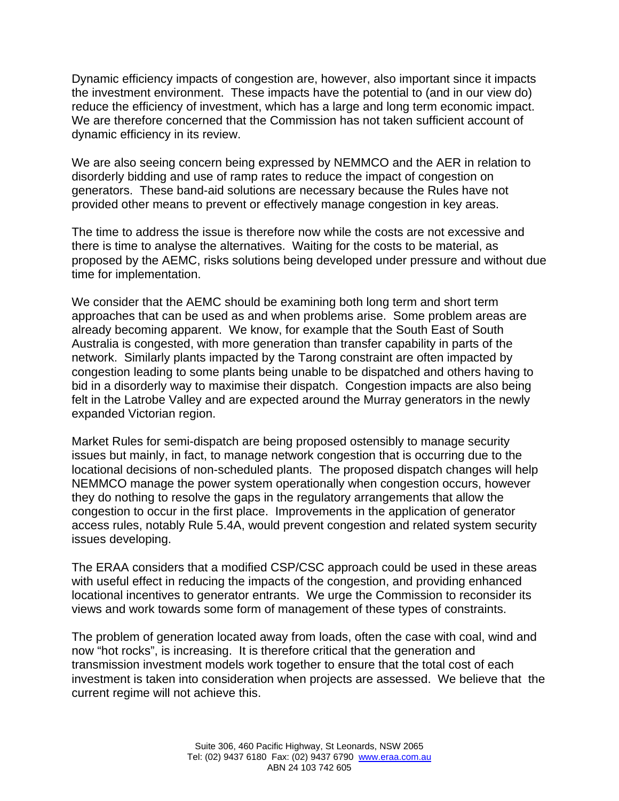Dynamic efficiency impacts of congestion are, however, also important since it impacts the investment environment. These impacts have the potential to (and in our view do) reduce the efficiency of investment, which has a large and long term economic impact. We are therefore concerned that the Commission has not taken sufficient account of dynamic efficiency in its review.

We are also seeing concern being expressed by NEMMCO and the AER in relation to disorderly bidding and use of ramp rates to reduce the impact of congestion on generators. These band-aid solutions are necessary because the Rules have not provided other means to prevent or effectively manage congestion in key areas.

The time to address the issue is therefore now while the costs are not excessive and there is time to analyse the alternatives. Waiting for the costs to be material, as proposed by the AEMC, risks solutions being developed under pressure and without due time for implementation.

We consider that the AEMC should be examining both long term and short term approaches that can be used as and when problems arise. Some problem areas are already becoming apparent. We know, for example that the South East of South Australia is congested, with more generation than transfer capability in parts of the network. Similarly plants impacted by the Tarong constraint are often impacted by congestion leading to some plants being unable to be dispatched and others having to bid in a disorderly way to maximise their dispatch. Congestion impacts are also being felt in the Latrobe Valley and are expected around the Murray generators in the newly expanded Victorian region.

Market Rules for semi-dispatch are being proposed ostensibly to manage security issues but mainly, in fact, to manage network congestion that is occurring due to the locational decisions of non-scheduled plants. The proposed dispatch changes will help NEMMCO manage the power system operationally when congestion occurs, however they do nothing to resolve the gaps in the regulatory arrangements that allow the congestion to occur in the first place. Improvements in the application of generator access rules, notably Rule 5.4A, would prevent congestion and related system security issues developing.

The ERAA considers that a modified CSP/CSC approach could be used in these areas with useful effect in reducing the impacts of the congestion, and providing enhanced locational incentives to generator entrants. We urge the Commission to reconsider its views and work towards some form of management of these types of constraints.

The problem of generation located away from loads, often the case with coal, wind and now "hot rocks", is increasing. It is therefore critical that the generation and transmission investment models work together to ensure that the total cost of each investment is taken into consideration when projects are assessed. We believe that the current regime will not achieve this.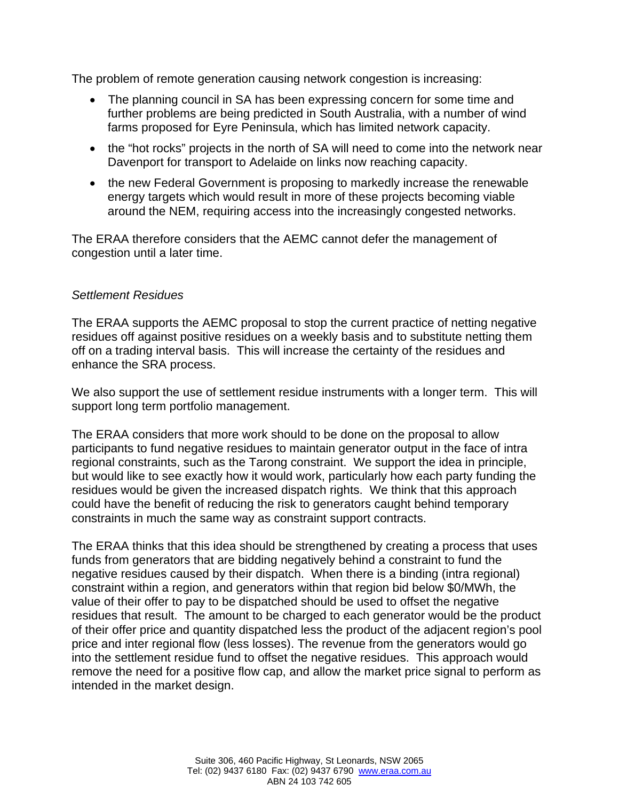The problem of remote generation causing network congestion is increasing:

- The planning council in SA has been expressing concern for some time and further problems are being predicted in South Australia, with a number of wind farms proposed for Eyre Peninsula, which has limited network capacity.
- the "hot rocks" projects in the north of SA will need to come into the network near Davenport for transport to Adelaide on links now reaching capacity.
- the new Federal Government is proposing to markedly increase the renewable energy targets which would result in more of these projects becoming viable around the NEM, requiring access into the increasingly congested networks.

The ERAA therefore considers that the AEMC cannot defer the management of congestion until a later time.

## *Settlement Residues*

The ERAA supports the AEMC proposal to stop the current practice of netting negative residues off against positive residues on a weekly basis and to substitute netting them off on a trading interval basis. This will increase the certainty of the residues and enhance the SRA process.

We also support the use of settlement residue instruments with a longer term. This will support long term portfolio management.

The ERAA considers that more work should to be done on the proposal to allow participants to fund negative residues to maintain generator output in the face of intra regional constraints, such as the Tarong constraint. We support the idea in principle, but would like to see exactly how it would work, particularly how each party funding the residues would be given the increased dispatch rights. We think that this approach could have the benefit of reducing the risk to generators caught behind temporary constraints in much the same way as constraint support contracts.

The ERAA thinks that this idea should be strengthened by creating a process that uses funds from generators that are bidding negatively behind a constraint to fund the negative residues caused by their dispatch. When there is a binding (intra regional) constraint within a region, and generators within that region bid below \$0/MWh, the value of their offer to pay to be dispatched should be used to offset the negative residues that result. The amount to be charged to each generator would be the product of their offer price and quantity dispatched less the product of the adjacent region's pool price and inter regional flow (less losses). The revenue from the generators would go into the settlement residue fund to offset the negative residues. This approach would remove the need for a positive flow cap, and allow the market price signal to perform as intended in the market design.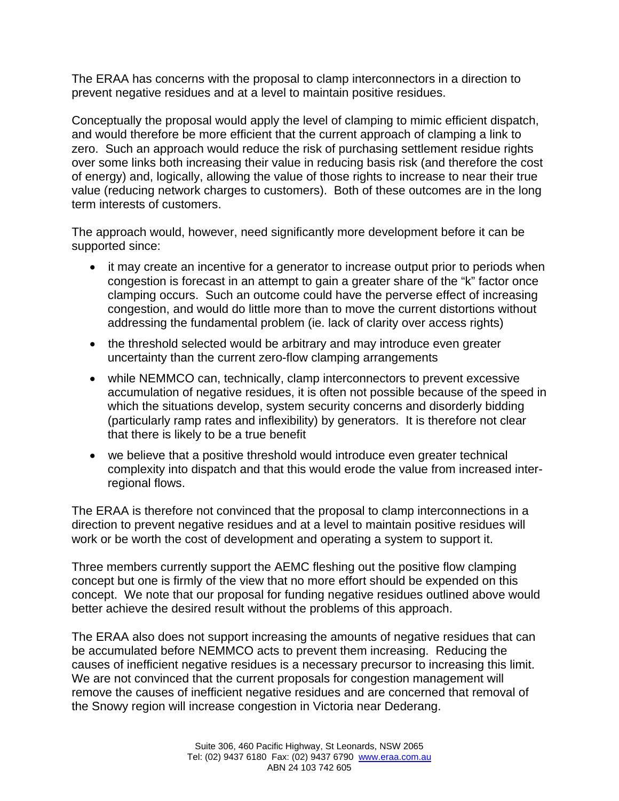The ERAA has concerns with the proposal to clamp interconnectors in a direction to prevent negative residues and at a level to maintain positive residues.

Conceptually the proposal would apply the level of clamping to mimic efficient dispatch, and would therefore be more efficient that the current approach of clamping a link to zero. Such an approach would reduce the risk of purchasing settlement residue rights over some links both increasing their value in reducing basis risk (and therefore the cost of energy) and, logically, allowing the value of those rights to increase to near their true value (reducing network charges to customers). Both of these outcomes are in the long term interests of customers.

The approach would, however, need significantly more development before it can be supported since:

- it may create an incentive for a generator to increase output prior to periods when congestion is forecast in an attempt to gain a greater share of the "k" factor once clamping occurs. Such an outcome could have the perverse effect of increasing congestion, and would do little more than to move the current distortions without addressing the fundamental problem (ie. lack of clarity over access rights)
- the threshold selected would be arbitrary and may introduce even greater uncertainty than the current zero-flow clamping arrangements
- while NEMMCO can, technically, clamp interconnectors to prevent excessive accumulation of negative residues, it is often not possible because of the speed in which the situations develop, system security concerns and disorderly bidding (particularly ramp rates and inflexibility) by generators. It is therefore not clear that there is likely to be a true benefit
- we believe that a positive threshold would introduce even greater technical complexity into dispatch and that this would erode the value from increased interregional flows.

The ERAA is therefore not convinced that the proposal to clamp interconnections in a direction to prevent negative residues and at a level to maintain positive residues will work or be worth the cost of development and operating a system to support it.

Three members currently support the AEMC fleshing out the positive flow clamping concept but one is firmly of the view that no more effort should be expended on this concept. We note that our proposal for funding negative residues outlined above would better achieve the desired result without the problems of this approach.

The ERAA also does not support increasing the amounts of negative residues that can be accumulated before NEMMCO acts to prevent them increasing. Reducing the causes of inefficient negative residues is a necessary precursor to increasing this limit. We are not convinced that the current proposals for congestion management will remove the causes of inefficient negative residues and are concerned that removal of the Snowy region will increase congestion in Victoria near Dederang.